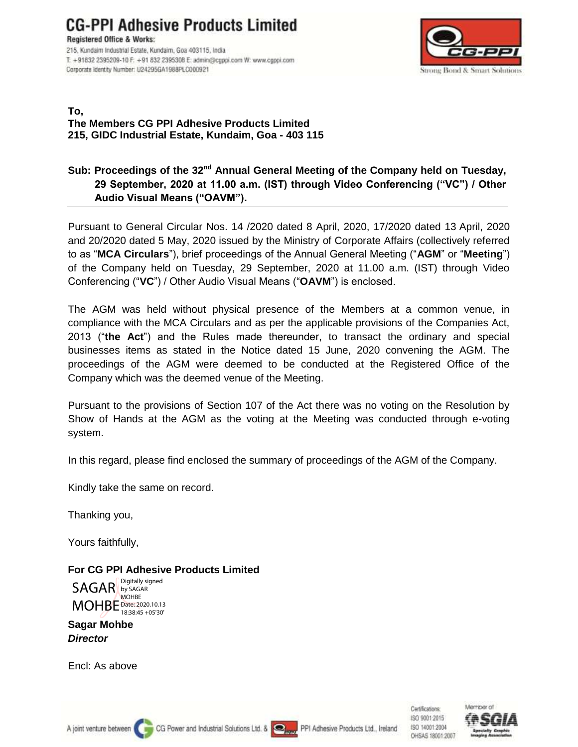**CG-PPI Adhesive Products Limited** 

**Registered Office & Works:** 215, Kundaim Industrial Estate, Kundaim, Goa 403115, India T: +91832 2395209-10 F: +91 832 2395308 E: admin@cgppi.com W: www.cgppi.com Corporate Identity Number: U24295GA1988PLC000921



#### **To, The Members CG PPI Adhesive Products Limited 215, GIDC Industrial Estate, Kundaim, Goa - 403 115**

## **Sub: Proceedings of the 32nd Annual General Meeting of the Company held on Tuesday, 29 September, 2020 at 11.00 a.m. (IST) through Video Conferencing ("VC") / Other Audio Visual Means ("OAVM").**

Pursuant to General Circular Nos. 14 /2020 dated 8 April, 2020, 17/2020 dated 13 April, 2020 and 20/2020 dated 5 May, 2020 issued by the Ministry of Corporate Affairs (collectively referred to as "**MCA Circulars**"), brief proceedings of the Annual General Meeting ("**AGM**" or "**Meeting**") of the Company held on Tuesday, 29 September, 2020 at 11.00 a.m. (IST) through Video Conferencing ("**VC**") / Other Audio Visual Means ("**OAVM**") is enclosed.

The AGM was held without physical presence of the Members at a common venue, in compliance with the MCA Circulars and as per the applicable provisions of the Companies Act, 2013 ("**the Act**") and the Rules made thereunder, to transact the ordinary and special businesses items as stated in the Notice dated 15 June, 2020 convening the AGM. The proceedings of the AGM were deemed to be conducted at the Registered Office of the Company which was the deemed venue of the Meeting.

Pursuant to the provisions of Section 107 of the Act there was no voting on the Resolution by Show of Hands at the AGM as the voting at the Meeting was conducted through e-voting system.

In this regard, please find enclosed the summary of proceedings of the AGM of the Company.

Kindly take the same on record.

Thanking you,

Yours faithfully,

**For CG PPI Adhesive Products Limited** SAGAR by SAGAR MOHBE Date: 2020.10.13 Digitally signed MOHBE 18:38:45 +05'30'

**Sagar Mohbe** *Director*

Encl: As above

Certifications: ISO 9001:2015 ISO 14001:2004 OHSAS 18001:2007

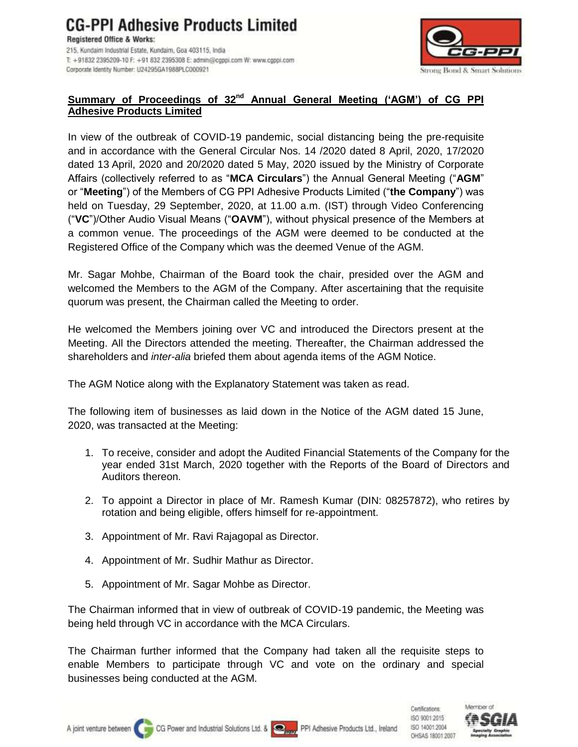Corporate Identity Number: U24295GA1988PLC000921



## **Summary of Proceedings of 32nd Annual General Meeting ('AGM') of CG PPI Adhesive Products Limited**

In view of the outbreak of COVID-19 pandemic, social distancing being the pre-requisite and in accordance with the General Circular Nos. 14 /2020 dated 8 April, 2020, 17/2020 dated 13 April, 2020 and 20/2020 dated 5 May, 2020 issued by the Ministry of Corporate Affairs (collectively referred to as "**MCA Circulars**") the Annual General Meeting ("**AGM**" or "**Meeting**") of the Members of CG PPI Adhesive Products Limited ("**the Company**") was held on Tuesday, 29 September, 2020, at 11.00 a.m. (IST) through Video Conferencing ("**VC**")/Other Audio Visual Means ("**OAVM**"), without physical presence of the Members at a common venue. The proceedings of the AGM were deemed to be conducted at the Registered Office of the Company which was the deemed Venue of the AGM.

Mr. Sagar Mohbe, Chairman of the Board took the chair, presided over the AGM and welcomed the Members to the AGM of the Company. After ascertaining that the requisite quorum was present, the Chairman called the Meeting to order.

He welcomed the Members joining over VC and introduced the Directors present at the Meeting. All the Directors attended the meeting. Thereafter, the Chairman addressed the shareholders and *inter-alia* briefed them about agenda items of the AGM Notice.

The AGM Notice along with the Explanatory Statement was taken as read.

The following item of businesses as laid down in the Notice of the AGM dated 15 June, 2020, was transacted at the Meeting:

- 1. To receive, consider and adopt the Audited Financial Statements of the Company for the year ended 31st March, 2020 together with the Reports of the Board of Directors and Auditors thereon.
- 2. To appoint a Director in place of Mr. Ramesh Kumar (DIN: 08257872), who retires by rotation and being eligible, offers himself for re-appointment.
- 3. Appointment of Mr. Ravi Rajagopal as Director.
- 4. Appointment of Mr. Sudhir Mathur as Director.
- 5. Appointment of Mr. Sagar Mohbe as Director.

The Chairman informed that in view of outbreak of COVID-19 pandemic, the Meeting was being held through VC in accordance with the MCA Circulars.

The Chairman further informed that the Company had taken all the requisite steps to enable Members to participate through VC and vote on the ordinary and special businesses being conducted at the AGM.